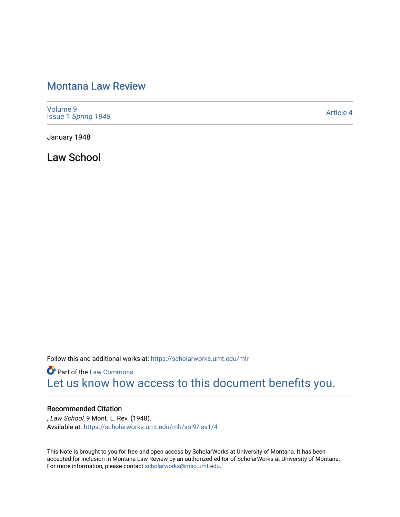# [Montana Law Review](https://scholarworks.umt.edu/mlr)

[Volume 9](https://scholarworks.umt.edu/mlr/vol9) Issue 1 [Spring 1948](https://scholarworks.umt.edu/mlr/vol9/iss1) 

[Article 4](https://scholarworks.umt.edu/mlr/vol9/iss1/4) 

January 1948

Law School

Follow this and additional works at: [https://scholarworks.umt.edu/mlr](https://scholarworks.umt.edu/mlr?utm_source=scholarworks.umt.edu%2Fmlr%2Fvol9%2Fiss1%2F4&utm_medium=PDF&utm_campaign=PDFCoverPages) 

**Part of the [Law Commons](http://network.bepress.com/hgg/discipline/578?utm_source=scholarworks.umt.edu%2Fmlr%2Fvol9%2Fiss1%2F4&utm_medium=PDF&utm_campaign=PDFCoverPages)** [Let us know how access to this document benefits you.](https://goo.gl/forms/s2rGfXOLzz71qgsB2) 

# Recommended Citation

, Law School, 9 Mont. L. Rev. (1948). Available at: [https://scholarworks.umt.edu/mlr/vol9/iss1/4](https://scholarworks.umt.edu/mlr/vol9/iss1/4?utm_source=scholarworks.umt.edu%2Fmlr%2Fvol9%2Fiss1%2F4&utm_medium=PDF&utm_campaign=PDFCoverPages)

This Note is brought to you for free and open access by ScholarWorks at University of Montana. It has been accepted for inclusion in Montana Law Review by an authorized editor of ScholarWorks at University of Montana. For more information, please contact [scholarworks@mso.umt.edu.](mailto:scholarworks@mso.umt.edu)